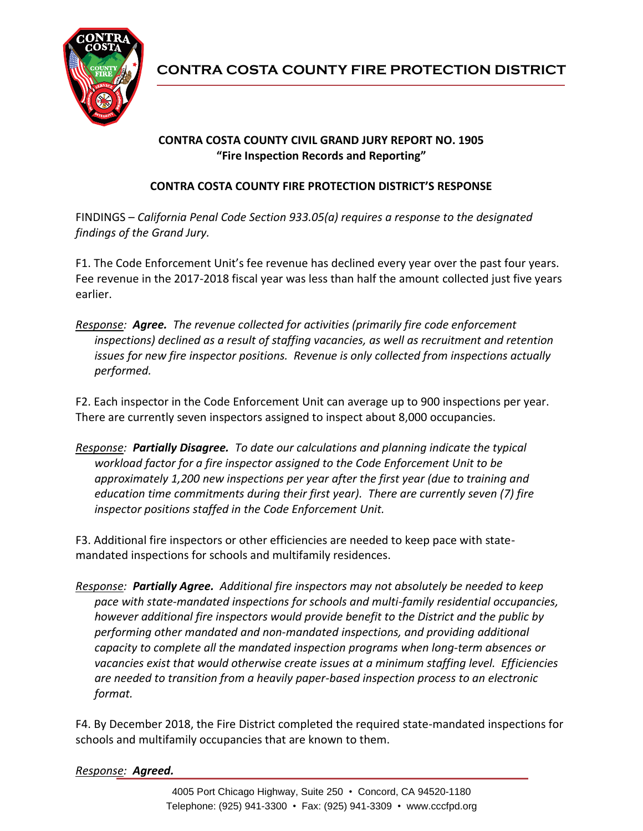

## **CONTRA COSTA COUNTY CIVIL GRAND JURY REPORT NO. 1905 "Fire Inspection Records and Reporting"**

## **CONTRA COSTA COUNTY FIRE PROTECTION DISTRICT'S RESPONSE**

FINDINGS – *California Penal Code Section 933.05(a) requires a response to the designated findings of the Grand Jury.*

F1. The Code Enforcement Unit's fee revenue has declined every year over the past four years. Fee revenue in the 2017-2018 fiscal year was less than half the amount collected just five years earlier.

*Response: Agree. The revenue collected for activities (primarily fire code enforcement inspections) declined as a result of staffing vacancies, as well as recruitment and retention issues for new fire inspector positions. Revenue is only collected from inspections actually performed.*

F2. Each inspector in the Code Enforcement Unit can average up to 900 inspections per year. There are currently seven inspectors assigned to inspect about 8,000 occupancies.

*Response: Partially Disagree. To date our calculations and planning indicate the typical workload factor for a fire inspector assigned to the Code Enforcement Unit to be approximately 1,200 new inspections per year after the first year (due to training and education time commitments during their first year). There are currently seven (7) fire inspector positions staffed in the Code Enforcement Unit.*

F3. Additional fire inspectors or other efficiencies are needed to keep pace with statemandated inspections for schools and multifamily residences.

*Response: Partially Agree. Additional fire inspectors may not absolutely be needed to keep pace with state-mandated inspections for schools and multi-family residential occupancies, however additional fire inspectors would provide benefit to the District and the public by performing other mandated and non-mandated inspections, and providing additional capacity to complete all the mandated inspection programs when long-term absences or vacancies exist that would otherwise create issues at a minimum staffing level. Efficiencies are needed to transition from a heavily paper-based inspection process to an electronic format.*

F4. By December 2018, the Fire District completed the required state-mandated inspections for schools and multifamily occupancies that are known to them.

## *Response: Agreed.*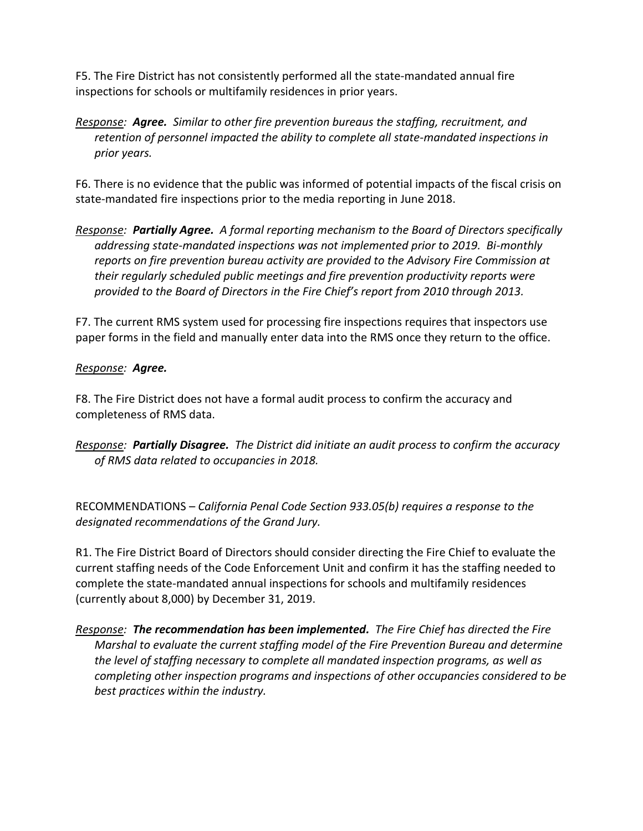F5. The Fire District has not consistently performed all the state-mandated annual fire inspections for schools or multifamily residences in prior years.

*Response: Agree. Similar to other fire prevention bureaus the staffing, recruitment, and retention of personnel impacted the ability to complete all state-mandated inspections in prior years.*

F6. There is no evidence that the public was informed of potential impacts of the fiscal crisis on state-mandated fire inspections prior to the media reporting in June 2018.

*Response: Partially Agree. A formal reporting mechanism to the Board of Directors specifically addressing state-mandated inspections was not implemented prior to 2019. Bi-monthly reports on fire prevention bureau activity are provided to the Advisory Fire Commission at their regularly scheduled public meetings and fire prevention productivity reports were provided to the Board of Directors in the Fire Chief's report from 2010 through 2013.* 

F7. The current RMS system used for processing fire inspections requires that inspectors use paper forms in the field and manually enter data into the RMS once they return to the office.

## *Response: Agree.*

F8. The Fire District does not have a formal audit process to confirm the accuracy and completeness of RMS data.

*Response: Partially Disagree. The District did initiate an audit process to confirm the accuracy of RMS data related to occupancies in 2018.*

RECOMMENDATIONS – *California Penal Code Section 933.05(b) requires a response to the designated recommendations of the Grand Jury.*

R1. The Fire District Board of Directors should consider directing the Fire Chief to evaluate the current staffing needs of the Code Enforcement Unit and confirm it has the staffing needed to complete the state-mandated annual inspections for schools and multifamily residences (currently about 8,000) by December 31, 2019.

*Response: The recommendation has been implemented. The Fire Chief has directed the Fire Marshal to evaluate the current staffing model of the Fire Prevention Bureau and determine the level of staffing necessary to complete all mandated inspection programs, as well as completing other inspection programs and inspections of other occupancies considered to be best practices within the industry.*